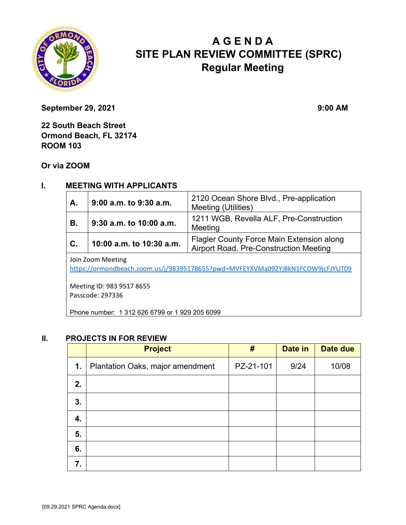

# **A G E N D A SITE PLAN REVIEW COMMITTEE (SPRC) Regular Meeting**

**September 29, 2021** 9:00 AM

**22 South Beach Street Ormond Beach, FL 32174 ROOM 103** 

**Or via ZOOM**

### **I. MEETING WITH APPLICANTS**

| А.                                                                                                                               | 9:00 a.m. to 9:30 a.m.                                                          | 2120 Ocean Shore Blvd., Pre-application<br><b>Meeting (Utilities)</b>               |  |  |
|----------------------------------------------------------------------------------------------------------------------------------|---------------------------------------------------------------------------------|-------------------------------------------------------------------------------------|--|--|
| В.                                                                                                                               | 1211 WGB, Revella ALF, Pre-Construction<br>$9:30$ a.m. to 10:00 a.m.<br>Meeting |                                                                                     |  |  |
| C.                                                                                                                               | 10:00 a.m. to 10:30 a.m.                                                        | Flagler County Force Main Extension along<br>Airport Road. Pre-Construction Meeting |  |  |
| Join Zoom Meeting<br>https://ormondbeach.zoom.us/j/98395178655?pwd=MVFEYXVMa092YjBkN1FCOW9jcFJYUT09<br>Meeting ID: 983 9517 8655 |                                                                                 |                                                                                     |  |  |

Passcode: 297336

Phone number: 1 312 626 6799 or 1 929 205 6099

#### **II. PROJECTS IN FOR REVIEW**

|    | <b>Project</b>                   | #         | Date in | Date due |
|----|----------------------------------|-----------|---------|----------|
| 1. | Plantation Oaks, major amendment | PZ-21-101 | 9/24    | 10/08    |
| 2. |                                  |           |         |          |
| 3. |                                  |           |         |          |
| 4. |                                  |           |         |          |
| 5. |                                  |           |         |          |
| 6. |                                  |           |         |          |
| 7. |                                  |           |         |          |